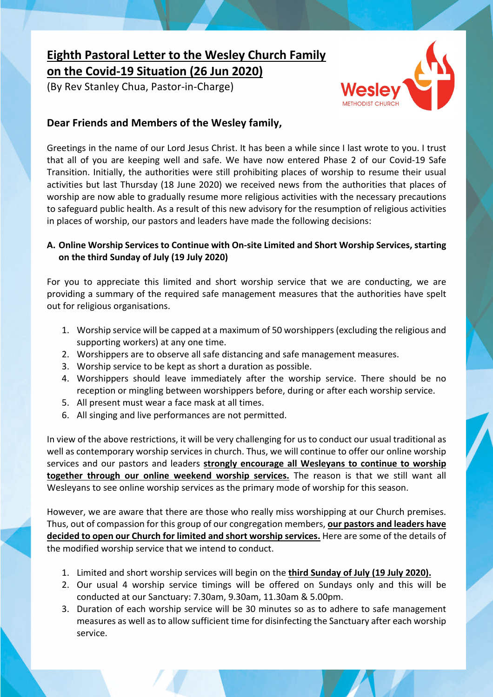# **Eighth Pastoral Letter to the Wesley Church Family on the Covid-19 Situation (26 Jun 2020)**

(By Rev Stanley Chua, Pastor-in-Charge)



## **Dear Friends and Members of the Wesley family,**

Greetings in the name of our Lord Jesus Christ. It has been a while since I last wrote to you. I trust that all of you are keeping well and safe. We have now entered Phase 2 of our Covid-19 Safe Transition. Initially, the authorities were still prohibiting places of worship to resume their usual activities but last Thursday (18 June 2020) we received news from the authorities that places of worship are now able to gradually resume more religious activities with the necessary precautions to safeguard public health. As a result of this new advisory for the resumption of religious activities in places of worship, our pastors and leaders have made the following decisions:

### **A. Online Worship Services to Continue with On-site Limited and Short Worship Services, starting on the third Sunday of July (19 July 2020)**

For you to appreciate this limited and short worship service that we are conducting, we are providing a summary of the required safe management measures that the authorities have spelt out for religious organisations.

- 1. Worship service will be capped at a maximum of 50 worshippers (excluding the religious and supporting workers) at any one time.
- 2. Worshippers are to observe all safe distancing and safe management measures.
- 3. Worship service to be kept as short a duration as possible.
- 4. Worshippers should leave immediately after the worship service. There should be no reception or mingling between worshippers before, during or after each worship service.
- 5. All present must wear a face mask at all times.
- 6. All singing and live performances are not permitted.

In view of the above restrictions, it will be very challenging for us to conduct our usual traditional as well as contemporary worship services in church. Thus, we will continue to offer our online worship services and our pastors and leaders **strongly encourage all Wesleyans to continue to worship together through our online weekend worship services.** The reason is that we still want all Wesleyans to see online worship services as the primary mode of worship for this season.

However, we are aware that there are those who really miss worshipping at our Church premises. Thus, out of compassion for this group of our congregation members, **our pastors and leaders have decided to open our Church for limited and short worship services.** Here are some of the details of the modified worship service that we intend to conduct.

- 1. Limited and short worship services will begin on the **third Sunday of July (19 July 2020).**
- 2. Our usual 4 worship service timings will be offered on Sundays only and this will be conducted at our Sanctuary: 7.30am, 9.30am, 11.30am & 5.00pm.
- 3. Duration of each worship service will be 30 minutes so as to adhere to safe management measures as well as to allow sufficient time for disinfecting the Sanctuary after each worship service.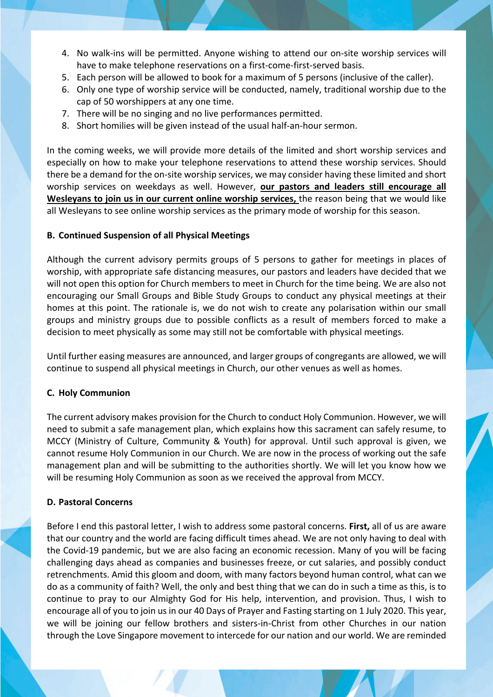- 4. No walk-ins will be permitted. Anyone wishing to attend our on-site worship services will have to make telephone reservations on a first-come-first-served basis.
- 5. Each person will be allowed to book for a maximum of 5 persons (inclusive of the caller).
- 6. Only one type of worship service will be conducted, namely, traditional worship due to the cap of 50 worshippers at any one time.
- 7. There will be no singing and no live performances permitted.
- 8. Short homilies will be given instead of the usual half-an-hour sermon.

In the coming weeks, we will provide more details of the limited and short worship services and especially on how to make your telephone reservations to attend these worship services. Should there be a demand for the on-site worship services, we may consider having these limited and short worship services on weekdays as well. However, **our pastors and leaders still encourage all Wesleyans to join us in our current online worship services,** the reason being that we would like all Wesleyans to see online worship services as the primary mode of worship for this season.

#### **B. Continued Suspension of all Physical Meetings**

Although the current advisory permits groups of 5 persons to gather for meetings in places of worship, with appropriate safe distancing measures, our pastors and leaders have decided that we will not open this option for Church members to meet in Church for the time being. We are also not encouraging our Small Groups and Bible Study Groups to conduct any physical meetings at their homes at this point. The rationale is, we do not wish to create any polarisation within our small groups and ministry groups due to possible conflicts as a result of members forced to make a decision to meet physically as some may still not be comfortable with physical meetings.

Until further easing measures are announced, and larger groups of congregants are allowed, we will continue to suspend all physical meetings in Church, our other venues as well as homes.

#### **C. Holy Communion**

The current advisory makes provision for the Church to conduct Holy Communion. However, we will need to submit a safe management plan, which explains how this sacrament can safely resume, to MCCY (Ministry of Culture, Community & Youth) for approval. Until such approval is given, we cannot resume Holy Communion in our Church. We are now in the process of working out the safe management plan and will be submitting to the authorities shortly. We will let you know how we will be resuming Holy Communion as soon as we received the approval from MCCY.

#### **D. Pastoral Concerns**

Before I end this pastoral letter, I wish to address some pastoral concerns. **First,** all of us are aware that our country and the world are facing difficult times ahead. We are not only having to deal with the Covid-19 pandemic, but we are also facing an economic recession. Many of you will be facing challenging days ahead as companies and businesses freeze, or cut salaries, and possibly conduct retrenchments. Amid this gloom and doom, with many factors beyond human control, what can we do as a community of faith? Well, the only and best thing that we can do in such a time as this, is to continue to pray to our Almighty God for His help, intervention, and provision. Thus, I wish to encourage all of you to join us in our 40 Days of Prayer and Fasting starting on 1 July 2020. This year, we will be joining our fellow brothers and sisters-in-Christ from other Churches in our nation through the Love Singapore movement to intercede for our nation and our world. We are reminded